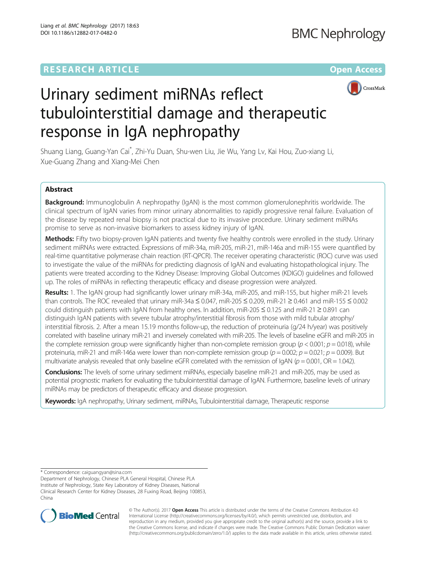# **RESEARCH ARTICLE Example 2018 12:00 Department 2018 12:00 Department 2018 12:00 Department 2018**



# Urinary sediment miRNAs reflect tubulointerstitial damage and therapeutic response in IgA nephropathy

Shuang Liang, Guang-Yan Cai\* , Zhi-Yu Duan, Shu-wen Liu, Jie Wu, Yang Lv, Kai Hou, Zuo-xiang Li, Xue-Guang Zhang and Xiang-Mei Chen

## Abstract

**Background:** Immunoglobulin A nephropathy (IgAN) is the most common glomerulonephritis worldwide. The clinical spectrum of IgAN varies from minor urinary abnormalities to rapidly progressive renal failure. Evaluation of the disease by repeated renal biopsy is not practical due to its invasive procedure. Urinary sediment miRNAs promise to serve as non-invasive biomarkers to assess kidney injury of IgAN.

Methods: Fifty two biopsy-proven IgAN patients and twenty five healthy controls were enrolled in the study. Urinary sediment miRNAs were extracted. Expressions of miR-34a, miR-205, miR-21, miR-146a and miR-155 were quantified by real-time quantitative polymerase chain reaction (RT-QPCR). The receiver operating characteristic (ROC) curve was used to investigate the value of the miRNAs for predicting diagnosis of IgAN and evaluating histopathological injury. The patients were treated according to the Kidney Disease: Improving Global Outcomes (KDIGO) guidelines and followed up. The roles of miRNAs in reflecting therapeutic efficacy and disease progression were analyzed.

Results: 1. The IgAN group had significantly lower urinary miR-34a, miR-205, and miR-155, but higher miR-21 levels than controls. The ROC revealed that urinary miR-34a ≤ 0.047, miR-205 ≤ 0.209, miR-21 ≥ 0.461 and miR-155 ≤ 0.002 could distinguish patients with IgAN from healthy ones. In addition, miR-205 ≤ 0.125 and miR-21 ≥ 0.891 can distinguish IgAN patients with severe tubular atrophy/interstitial fibrosis from those with mild tubular atrophy/ interstitial fibrosis. 2. After a mean 15.19 months follow-up, the reduction of proteinuria (g/24 h/year) was positively correlated with baseline urinary miR-21 and inversely correlated with miR-205. The levels of baseline eGFR and miR-205 in the complete remission group were significantly higher than non-complete remission group ( $p < 0.001$ ;  $p = 0.018$ ), while proteinuria, miR-21 and miR-146a were lower than non-complete remission group ( $p = 0.002$ ;  $p = 0.021$ ;  $p = 0.009$ ). But multivariate analysis revealed that only baseline eGFR correlated with the remission of IgAN ( $p = 0.001$ , OR = 1.042).

**Conclusions:** The levels of some urinary sediment miRNAs, especially baseline miR-21 and miR-205, may be used as potential prognostic markers for evaluating the tubulointerstitial damage of IgAN. Furthermore, baseline levels of urinary miRNAs may be predictors of therapeutic efficacy and disease progression.

Keywords: IgA nephropathy, Urinary sediment, miRNAs, Tubulointerstitial damage, Therapeutic response

\* Correspondence: [caiguangyan@sina.com](mailto:caiguangyan@sina.com)

Department of Nephrology, Chinese PLA General Hospital, Chinese PLA Institute of Nephrology, State Key Laboratory of Kidney Diseases, National Clinical Research Center for Kidney Diseases, 28 Fuxing Road, Beijing 100853, China



© The Author(s). 2017 **Open Access** This article is distributed under the terms of the Creative Commons Attribution 4.0 International License [\(http://creativecommons.org/licenses/by/4.0/](http://creativecommons.org/licenses/by/4.0/)), which permits unrestricted use, distribution, and reproduction in any medium, provided you give appropriate credit to the original author(s) and the source, provide a link to the Creative Commons license, and indicate if changes were made. The Creative Commons Public Domain Dedication waiver [\(http://creativecommons.org/publicdomain/zero/1.0/](http://creativecommons.org/publicdomain/zero/1.0/)) applies to the data made available in this article, unless otherwise stated.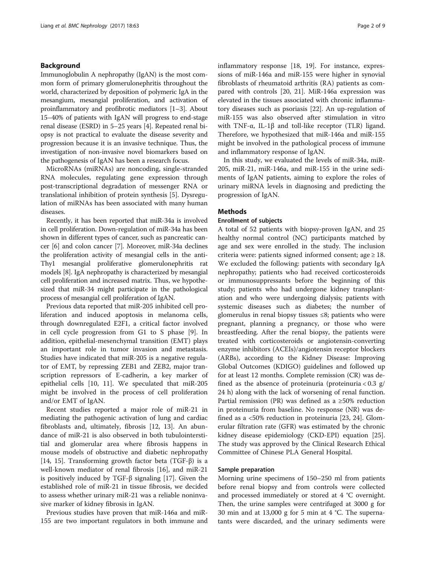## Background

Immunoglobulin A nephropathy (IgAN) is the most common form of primary glomerulonephritis throughout the world, characterized by deposition of polymeric IgA in the mesangium, mesangial proliferation, and activation of proinflammatory and profibrotic mediators [[1](#page-7-0)–[3](#page-7-0)]. About 15–40% of patients with IgAN will progress to end-stage renal disease (ESRD) in 5–25 years [[4\]](#page-7-0). Repeated renal biopsy is not practical to evaluate the disease severity and progression because it is an invasive technique. Thus, the investigation of non-invasive novel biomarkers based on the pathogenesis of IgAN has been a research focus.

MicroRNAs (miRNAs) are noncoding, single-stranded RNA molecules, regulating gene expression through post-transcriptional degradation of messenger RNA or translational inhibition of protein synthesis [\[5](#page-7-0)]. Dysregulation of miRNAs has been associated with many human diseases.

Recently, it has been reported that miR-34a is involved in cell proliferation. Down-regulation of miR-34a has been shown in different types of cancer, such as pancreatic cancer [\[6](#page-7-0)] and colon cancer [[7](#page-7-0)]. Moreover, miR-34a declines the proliferation activity of mesangial cells in the anti-Thy1 mesangial proliferative glomerulonephritis rat models [\[8](#page-7-0)]. IgA nephropathy is characterized by mesangial cell proliferation and increased matrix. Thus, we hypothesized that miR-34 might participate in the pathological process of mesangial cell proliferation of IgAN.

Previous data reported that miR-205 inhibited cell proliferation and induced apoptosis in melanoma cells, through downregulated E2F1, a critical factor involved in cell cycle progression from G1 to S phase [\[9](#page-7-0)]. In addition, epithelial-mesenchymal transition (EMT) plays an important role in tumor invasion and metastasis. Studies have indicated that miR-205 is a negative regulator of EMT, by repressing ZEB1 and ZEB2, major transcription repressors of E-cadherin, a key marker of epithelial cells [\[10](#page-7-0), [11\]](#page-7-0). We speculated that miR-205 might be involved in the process of cell proliferation and/or EMT of IgAN.

Recent studies reported a major role of miR-21 in mediating the pathogenic activation of lung and cardiac fibroblasts and, ultimately, fibrosis [[12, 13\]](#page-7-0). An abundance of miR-21 is also observed in both tubulointerstitial and glomerular area where fibrosis happens in mouse models of obstructive and diabetic nephropathy [[14, 15\]](#page-7-0). Transforming growth factor beta (TGF- $\beta$ ) is a well-known mediator of renal fibrosis [\[16](#page-7-0)], and miR-21 is positively induced by TGF-β signaling [\[17](#page-7-0)]. Given the established role of miR-21 in tissue fibrosis, we decided to assess whether urinary miR-21 was a reliable noninvasive marker of kidney fibrosis in IgAN.

Previous studies have proven that miR-146a and miR-155 are two important regulators in both immune and inflammatory response [[18, 19](#page-7-0)]. For instance, expressions of miR-146a and miR-155 were higher in synovial fibroblasts of rheumatoid arthritis (RA) patients as compared with controls [\[20](#page-7-0), [21](#page-7-0)]. MiR-146a expression was elevated in the tissues associated with chronic inflammatory diseases such as psoriasis [[22\]](#page-7-0). An up-regulation of miR-155 was also observed after stimulation in vitro with TNF-α, IL-1β and toll-like receptor (TLR) ligand. Therefore, we hypothesized that miR-146a and miR-155 might be involved in the pathological process of immune and inflammatory response of IgAN.

In this study, we evaluated the levels of miR-34a, miR-205, miR-21, miR-146a, and miR-155 in the urine sediments of IgAN patients, aiming to explore the roles of urinary miRNA levels in diagnosing and predicting the progression of IgAN.

## Methods

#### Enrollment of subjects

A total of 52 patients with biopsy-proven IgAN, and 25 healthy normal control (NC) participants matched by age and sex were enrolled in the study. The inclusion criteria were: patients signed informed consent; age  $\geq 18$ . We excluded the following: patients with secondary IgA nephropathy; patients who had received corticosteroids or immunosuppressants before the beginning of this study; patients who had undergone kidney transplantation and who were undergoing dialysis; patients with systemic diseases such as diabetes; the number of glomerulus in renal biopsy tissues ≤8; patients who were pregnant, planning a pregnancy, or those who were breastfeeding. After the renal biopsy, the patients were treated with corticosteroids or angiotensin-converting enzyme inhibitors (ACEIs)/angiotensin receptor blockers (ARBs), according to the Kidney Disease: Improving Global Outcomes (KDIGO) guidelines and followed up for at least 12 months. Complete remission (CR) was defined as the absence of proteinuria (proteinuria  $< 0.3$  g/ 24 h) along with the lack of worsening of renal function. Partial remission (PR) was defined as a ≥50% reduction in proteinuria from baseline. No response (NR) was defined as a <50% reduction in proteinuria [\[23](#page-7-0), [24](#page-7-0)]. Glomerular filtration rate (GFR) was estimated by the chronic kidney disease epidemiology (CKD-EPI) equation [\[25](#page-7-0)]. The study was approved by the Clinical Research Ethical Committee of Chinese PLA General Hospital.

#### Sample preparation

Morning urine specimens of 150–250 ml from patients before renal biopsy and from controls were collected and processed immediately or stored at 4 °C overnight. Then, the urine samples were centrifuged at 3000 g for 30 min and at 13,000 g for 5 min at 4 °C. The supernatants were discarded, and the urinary sediments were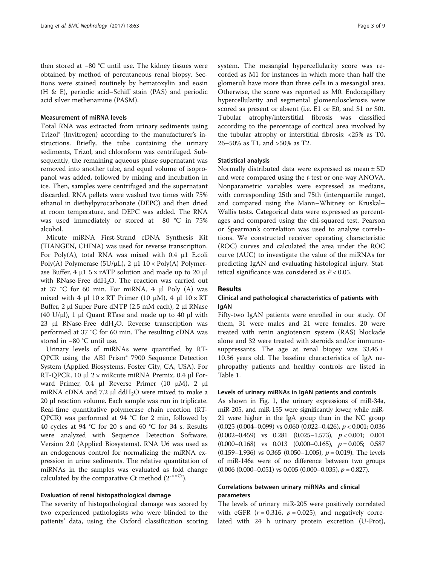then stored at −80 °C until use. The kidney tissues were obtained by method of percutaneous renal biopsy. Sections were stained routinely by hematoxylin and eosin (H & E), periodic acid–Schiff stain (PAS) and periodic acid silver methenamine (PASM).

### Measurement of miRNA levels

Total RNA was extracted from urinary sediments using Trizol® (Invitrogen) according to the manufacturer's instructions. Briefly, the tube containing the urinary sediments, Trizol, and chloroform was centrifuged. Subsequently, the remaining aqueous phase supernatant was removed into another tube, and equal volume of isopropanol was added, followed by mixing and incubation in ice. Then, samples were centrifuged and the supernatant discarded. RNA pellets were washed two times with 75% ethanol in diethylpyrocarbonate (DEPC) and then dried at room temperature, and DEPC was added. The RNA was used immediately or stored at −80 °C in 75% alcohol.

Micute miRNA First-Strand cDNA Synthesis Kit (TIANGEN, CHINA) was used for reverse transcription. For Poly(A), total RNA was mixed with 0.4 μ1 E.coli Poly(A) Polymerase ( $5U/\mu L$ ), 2  $\mu$ 1 10 × Poly(A) Polymerase Buffer, 4 μ1  $5 \times r$ ATP solution and made up to 20 μl with RNase-Free  $ddH<sub>2</sub>O$ . The reaction was carried out at 37 °C for 60 min. For miRNA, 4 μl Poly (A) was mixed with 4 μl  $10 \times RT$  Primer (10 μM), 4 μl  $10 \times RT$ Buffer, 2 μl Super Pure dNTP (2.5 mM each), 2 μl RNase (40 U/ $\mu$ l), 1  $\mu$ l Quant RTase and made up to 40  $\mu$ l with 23 μl RNase-Free ddH<sub>2</sub>O. Reverse transcription was performed at 37 °C for 60 min. The resulting cDNA was stored in −80 °C until use.

Urinary levels of miRNAs were quantified by RT-QPCR using the ABI Prism® 7900 Sequence Detection System (Applied Biosystems, Foster City, CA, USA). For RT-QPCR, 10 μl 2 × miRcute miRNA Premix, 0.4 μl Forward Primer, 0.4 μl Reverse Primer (10 μM), 2 μl miRNA cDNA and 7.2  $\mu$ l ddH<sub>2</sub>O were mixed to make a 20 μl reaction volume. Each sample was run in triplicate. Real-time quantitative polymerase chain reaction (RT-QPCR) was performed at 94 °C for 2 min, followed by 40 cycles at 94 °C for 20 s and 60 °C for 34 s. Results were analyzed with Sequence Detection Software, Version 2.0 (Applied Biosystems). RNA U6 was used as an endogenous control for normalizing the miRNA expression in urine sediments. The relative quantitation of miRNAs in the samples was evaluated as fold change calculated by the comparative Ct method  $(2^{-\Delta \Delta}Ct)$ .

#### Evaluation of renal histopathological damage

The severity of histopathological damage was scored by two experienced pathologists who were blinded to the patients' data, using the Oxford classification scoring system. The mesangial hypercellularity score was recorded as M1 for instances in which more than half the glomeruli have more than three cells in a mesangial area. Otherwise, the score was reported as M0. Endocapillary hypercellularity and segmental glomerulosclerosis were scored as present or absent (i.e. E1 or E0, and S1 or S0). Tubular atrophy/interstitial fibrosis was classified according to the percentage of cortical area involved by the tubular atrophy or interstitial fibrosis: <25% as T0, 26–50% as T1, and >50% as T2.

#### Statistical analysis

Normally distributed data were expressed as mean ± SD and were compared using the t-test or one-way ANOVA. Nonparametric variables were expressed as medians, with corresponding 25th and 75th (interquartile range), and compared using the Mann–Whitney or Kruskal– Wallis tests. Categorical data were expressed as percentages and compared using the chi-squared test. Pearson or Spearman's correlation was used to analyze correlations. We constructed receiver operating characteristic (ROC) curves and calculated the area under the ROC curve (AUC) to investigate the value of the miRNAs for predicting IgAN and evaluating histological injury. Statistical significance was considered as  $P < 0.05$ .

### Results

## Clinical and pathological characteristics of patients with IgAN

Fifty-two IgAN patients were enrolled in our study. Of them, 31 were males and 21 were females. 20 were treated with renin angiotensin system (RAS) blockade alone and 32 were treated with steroids and/or immunosuppressants. The age at renal biopsy was  $33.45 \pm$ 10.36 years old. The baseline characteristics of IgA nephropathy patients and healthy controls are listed in Table [1.](#page-3-0)

#### Levels of urinary miRNAs in IgAN patients and controls

As shown in Fig. [1,](#page-3-0) the urinary expressions of miR-34a, miR-205, and miR-155 were significantly lower, while miR-21 were higher in the IgA group than in the NC group (0.025 (0.004-0.099) vs 0.060 (0.022-0.426),  $p < 0.001$ ; 0.036  $(0.002-0.459)$  vs  $0.281$   $(0.025-1.573)$ ,  $p < 0.001$ ; 0.001  $(0.000-0.168)$  vs  $0.013$   $(0.000-0.165)$ ,  $p = 0.005$ ; 0.587  $(0.159-1.936)$  vs  $0.365$   $(0.050-1.005)$ ,  $p = 0.019$ . The levels of miR-146a were of no difference between two groups  $(0.006 (0.000-0.051)$  vs  $0.005 (0.000-0.035)$ ,  $p = 0.827$ ).

## Correlations between urinary miRNAs and clinical parameters

The levels of urinary miR-205 were positively correlated with eGFR  $(r = 0.316, p = 0.025)$ , and negatively correlated with 24 h urinary protein excretion (U-Prot),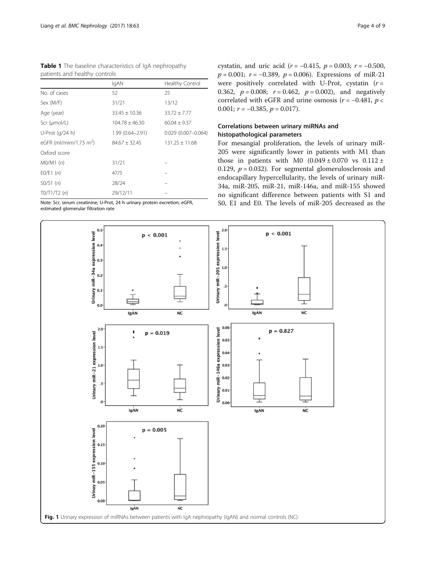<span id="page-3-0"></span>

|  | <b>Table 1</b> The baseline characteristics of IqA nephropathy |  |
|--|----------------------------------------------------------------|--|
|  | patients and healthy controls                                  |  |

|                                    | IgAN               | Healthy Control        |
|------------------------------------|--------------------|------------------------|
| No. of cases                       | 52                 | 25                     |
| Sex (M/F)                          | 31/21              | 13/12                  |
| Age (year)                         | $33.45 \pm 10.36$  | $33.72 \pm 7.77$       |
| $Scr$ ( $\mu$ mol/L)               | $104.78 \pm 46.30$ | $60.04 \pm 9.37$       |
| U-Prot (g/24 h)                    | 1.99 (0.64-2.91)   | $0.029(0.007 - 0.064)$ |
| eGFR (ml/mim/1.73 m <sup>2</sup> ) | $84.67 \pm 32.45$  | $131.25 \pm 11.68$     |
| Oxford score                       |                    |                        |
| $MO/M1$ (n)                        | 31/21              |                        |
| E0/E1(n)                           | 47/5               |                        |
| SO/S1(n)                           | 28/24              |                        |
| TO/T1/T2 (n)                       | 29/12/11           |                        |

Note: Scr, serum creatinine; U-Prot, 24 h urinary protein excretion; eGFR, estimated glomerular filtration rate

cystatin, and uric acid ( $r = -0.415$ ,  $p = 0.003$ ;  $r = -0.500$ ,  $p = 0.001$ ;  $r = -0.389$ ,  $p = 0.006$ ). Expressions of miR-21 were positively correlated with U-Prot, cystatin  $(r =$ 0.362,  $p = 0.008$ ;  $r = 0.462$ ,  $p = 0.002$ ), and negatively correlated with eGFR and urine osmosis ( $r = -0.481$ ,  $p <$ 0.001;  $r = -0.385$ ,  $p = 0.017$ ).

## Correlations between urinary miRNAs and histopathological parameters

For mesangial proliferation, the levels of urinary miR-205 were significantly lower in patients with M1 than those in patients with M0  $(0.049 \pm 0.070$  vs  $0.112 \pm$ 0.129,  $p = 0.032$ ). For segmental glomerulosclerosis and endocapillary hypercellularity, the levels of urinary miR-34a, miR-205, miR-21, miR-146a, and miR-155 showed no significant difference between patients with S1 and S0, E1 and E0. The levels of miR-205 decreased as the

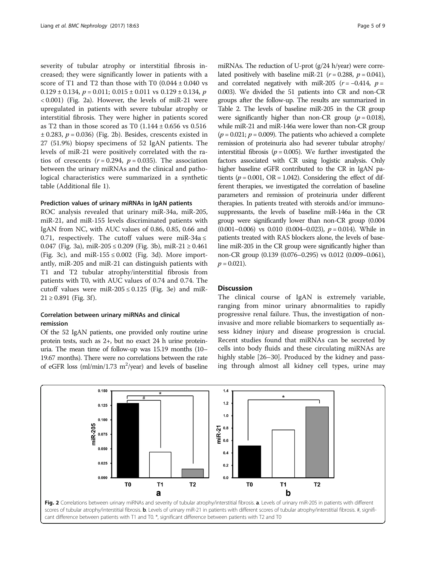severity of tubular atrophy or interstitial fibrosis increased; they were significantly lower in patients with a score of T1 and T2 than those with T0  $(0.044 \pm 0.040 \text{ vs }$  $0.129 \pm 0.134$ ,  $p = 0.011$ ;  $0.015 \pm 0.011$  vs  $0.129 \pm 0.134$ , p < 0.001) (Fig. 2a). However, the levels of miR-21 were upregulated in patients with severe tubular atrophy or interstitial fibrosis. They were higher in patients scored as T2 than in those scored as T0  $(1.144 \pm 0.656 \text{ vs } 0.516)$  $\pm$  0.283,  $p = 0.036$ ) (Fig. 2b). Besides, crescents existed in 27 (51.9%) biopsy specimens of 52 IgAN patients. The levels of miR-21 were positively correlated with the ratios of crescents  $(r = 0.294, p = 0.035)$ . The association between the urinary miRNAs and the clinical and pathological characteristics were summarized in a synthetic table (Additional file [1\)](#page-7-0).

#### Prediction values of urinary miRNAs in IgAN patients

ROC analysis revealed that urinary miR-34a, miR-205, miR-21, and miR-155 levels discriminated patients with IgAN from NC, with AUC values of 0.86, 0.85, 0.66 and 0.71, respectively. The cutoff values were miR-34a  $\leq$ 0.047 (Fig. [3a](#page-5-0)), miR-205 ≤ 0.209 (Fig. [3b\)](#page-5-0), miR-21 ≥ 0.461 (Fig. [3c\)](#page-5-0), and miR-155  $\leq$  0.002 (Fig. [3d\)](#page-5-0). More importantly, miR-205 and miR-21 can distinguish patients with T1 and T2 tubular atrophy/interstitial fibrosis from patients with T0, with AUC values of 0.74 and 0.74. The cutoff values were miR-205  $\leq$  0.125 (Fig. [3e](#page-5-0)) and miR- $21 \ge 0.891$  (Fig. [3f](#page-5-0)).

## Correlation between urinary miRNAs and clinical remission

Of the 52 IgAN patients, one provided only routine urine protein tests, such as 2+, but no exact 24 h urine proteinuria. The mean time of follow-up was 15.19 months (10– 19.67 months). There were no correlations between the rate of eGFR loss  $(ml/min/1.73 m<sup>2</sup>/year)$  and levels of baseline

miRNAs. The reduction of U-prot (g/24 h/year) were correlated positively with baseline miR-21 ( $r = 0.288$ ,  $p = 0.041$ ), and correlated negatively with miR-205 ( $r = -0.414$ ,  $p =$ 0.003). We divided the 51 patients into CR and non-CR groups after the follow-up. The results are summarized in Table [2.](#page-6-0) The levels of baseline miR-205 in the CR group were significantly higher than non-CR group  $(p = 0.018)$ , while miR-21 and miR-146a were lower than non-CR group  $(p = 0.021; p = 0.009)$ . The patients who achieved a complete remission of proteinuria also had severer tubular atrophy/ interstitial fibrosis ( $p = 0.005$ ). We further investigated the factors associated with CR using logistic analysis. Only higher baseline eGFR contributed to the CR in IgAN patients ( $p = 0.001$ , OR = 1.042). Considering the effect of different therapies, we investigated the correlation of baseline parameters and remission of proteinuria under different therapies. In patients treated with steroids and/or immunosuppressants, the levels of baseline miR-146a in the CR group were significantly lower than non-CR group (0.004  $(0.001-0.006)$  vs 0.010  $(0.004-0.023)$ ,  $p = 0.014$ ). While in patients treated with RAS blockers alone, the levels of baseline miR-205 in the CR group were significantly higher than non-CR group (0.139 (0.076–0.295) vs 0.012 (0.009–0.061),  $p = 0.021$ ).

## **Discussion**

The clinical course of IgAN is extremely variable, ranging from minor urinary abnormalities to rapidly progressive renal failure. Thus, the investigation of noninvasive and more reliable biomarkers to sequentially assess kidney injury and disease progression is crucial. Recent studies found that miRNAs can be secreted by cells into body fluids and these circulating miRNAs are highly stable [[26](#page-8-0)–[30\]](#page-8-0). Produced by the kidney and passing through almost all kidney cell types, urine may

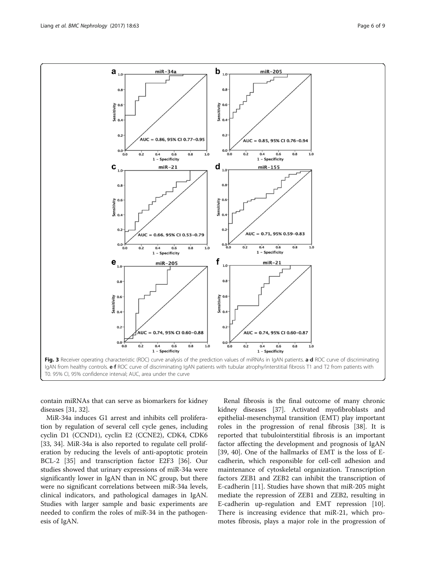contain miRNAs that can serve as biomarkers for kidney diseases [\[31](#page-8-0), [32\]](#page-8-0).

MiR-34a induces G1 arrest and inhibits cell proliferation by regulation of several cell cycle genes, including cyclin D1 (CCND1), cyclin E2 (CCNE2), CDK4, CDK6 [[33, 34](#page-8-0)]. MiR-34a is also reported to regulate cell proliferation by reducing the levels of anti-apoptotic protein BCL-2 [[35\]](#page-8-0) and transcription factor E2F3 [\[36](#page-8-0)]. Our studies showed that urinary expressions of miR-34a were significantly lower in IgAN than in NC group, but there were no significant correlations between miR-34a levels, clinical indicators, and pathological damages in IgAN. Studies with larger sample and basic experiments are needed to confirm the roles of miR-34 in the pathogenesis of IgAN.

Renal fibrosis is the final outcome of many chronic kidney diseases [\[37\]](#page-8-0). Activated myofibroblasts and epithelial-mesenchymal transition (EMT) play important roles in the progression of renal fibrosis [[38\]](#page-8-0). It is reported that tubulointerstitial fibrosis is an important factor affecting the development and prognosis of IgAN [[39, 40](#page-8-0)]. One of the hallmarks of EMT is the loss of Ecadherin, which responsible for cell-cell adhesion and maintenance of cytoskeletal organization. Transcription factors ZEB1 and ZEB2 can inhibit the transcription of E-cadherin [\[11](#page-7-0)]. Studies have shown that miR-205 might mediate the repression of ZEB1 and ZEB2, resulting in E-cadherin up-regulation and EMT repression [\[10](#page-7-0)]. There is increasing evidence that miR-21, which promotes fibrosis, plays a major role in the progression of

<span id="page-5-0"></span>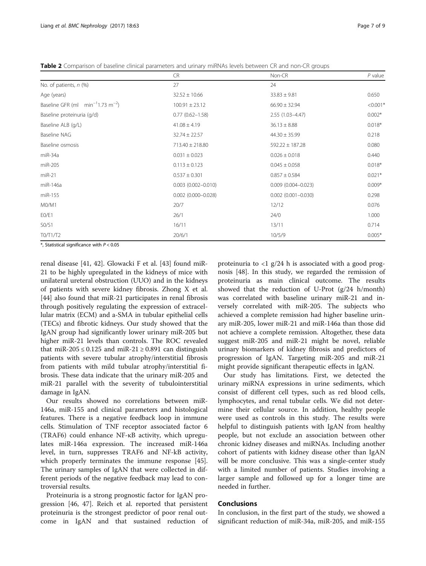<span id="page-6-0"></span>Table 2 Comparison of baseline clinical parameters and urinary miRNAs levels between CR and non-CR groups

|                                                   | <b>CR</b>                 | Non-CR                    | $P$ value  |
|---------------------------------------------------|---------------------------|---------------------------|------------|
| No. of patients, n (%)                            | 27                        | 24                        |            |
| Age (years)                                       | $32.52 \pm 10.66$         | $33.83 \pm 9.81$          | 0.650      |
| Baseline GFR (ml $min^{-1}1.73$ m <sup>-2</sup> ) | $100.91 \pm 23.12$        | $66.90 \pm 32.94$         | $< 0.001*$ |
| Baseline proteinuria (g/d)                        | $0.77(0.62 - 1.58)$       | $2.55(1.03 - 4.47)$       | $0.002*$   |
| Baseline ALB (g/L)                                | $41.08 \pm 4.19$          | $36.13 \pm 8.88$          | $0.018*$   |
| Baseline NAG                                      | $32.74 \pm 22.57$         | $44.30 \pm 35.99$         | 0.218      |
| Baseline osmosis                                  | $713.40 \pm 218.80$       | $592.22 \pm 187.28$       | 0.080      |
| miR-34a                                           | $0.031 \pm 0.023$         | $0.026 \pm 0.018$         | 0.440      |
| miR-205                                           | $0.113 \pm 0.123$         | $0.045 \pm 0.058$         | $0.018*$   |
| $miR-21$                                          | $0.537 \pm 0.301$         | $0.857 \pm 0.584$         | $0.021*$   |
| miR-146a                                          | $0.003$ $(0.002 - 0.010)$ | $0.009$ (0.004-0.023)     | $0.009*$   |
| miR-155                                           | $0.002$ $(0.000 - 0.028)$ | $0.002$ $(0.001 - 0.030)$ | 0.298      |
| M0/M1                                             | 20/7                      | 12/12                     | 0.076      |
| E0/E1                                             | 26/1                      | 24/0                      | 1.000      |
| SO/S1                                             | 16/11                     | 13/11                     | 0.714      |
| TO/T1/T2                                          | 20/6/1                    | 10/5/9                    | $0.005*$   |

 $*$ , Statistical significance with  $P < 0.05$ 

renal disease [[41, 42](#page-8-0)]. Glowacki F et al. [[43](#page-8-0)] found miR-21 to be highly upregulated in the kidneys of mice with unilateral ureteral obstruction (UUO) and in the kidneys of patients with severe kidney fibrosis. Zhong X et al. [[44\]](#page-8-0) also found that miR-21 participates in renal fibrosis through positively regulating the expression of extracellular matrix (ECM) and a-SMA in tubular epithelial cells (TECs) and fibrotic kidneys. Our study showed that the IgAN group had significantly lower urinary miR-205 but higher miR-21 levels than controls. The ROC revealed that miR-205  $\leq$  0.125 and miR-21  $\geq$  0.891 can distinguish patients with severe tubular atrophy/interstitial fibrosis from patients with mild tubular atrophy/interstitial fibrosis. These data indicate that the urinary miR-205 and miR-21 parallel with the severity of tubulointerstitial damage in IgAN.

Our results showed no correlations between miR-146a, miR-155 and clinical parameters and histological features. There is a negative feedback loop in immune cells. Stimulation of TNF receptor associated factor 6 (TRAF6) could enhance NF-κB activity, which upregulates miR-146a expression. The increased miR-146a level, in turn, suppresses TRAF6 and NF-kB activity, which properly terminates the immune response [\[45](#page-8-0)]. The urinary samples of IgAN that were collected in different periods of the negative feedback may lead to controversial results.

Proteinuria is a strong prognostic factor for IgAN progression [\[46](#page-8-0), [47](#page-8-0)]. Reich et al. reported that persistent proteinuria is the strongest predictor of poor renal outcome in IgAN and that sustained reduction of

proteinuria to  $\langle 1 \rangle$  g/24 h is associated with a good prognosis [\[48\]](#page-8-0). In this study, we regarded the remission of proteinuria as main clinical outcome. The results showed that the reduction of U-Prot (g/24 h/month) was correlated with baseline urinary miR-21 and inversely correlated with miR-205. The subjects who achieved a complete remission had higher baseline urinary miR-205, lower miR-21 and miR-146a than those did not achieve a complete remission. Altogether, these data suggest miR-205 and miR-21 might be novel, reliable urinary biomarkers of kidney fibrosis and predictors of progression of IgAN. Targeting miR-205 and miR-21 might provide significant therapeutic effects in IgAN.

Our study has limitations. First, we detected the urinary miRNA expressions in urine sediments, which consist of different cell types, such as red blood cells, lymphocytes, and renal tubular cells. We did not determine their cellular source. In addition, healthy people were used as controls in this study. The results were helpful to distinguish patients with IgAN from healthy people, but not exclude an association between other chronic kidney diseases and miRNAs. Including another cohort of patients with kidney disease other than IgAN will be more conclusive. This was a single-center study with a limited number of patients. Studies involving a larger sample and followed up for a longer time are needed in further.

## Conclusions

In conclusion, in the first part of the study, we showed a significant reduction of miR-34a, miR-205, and miR-155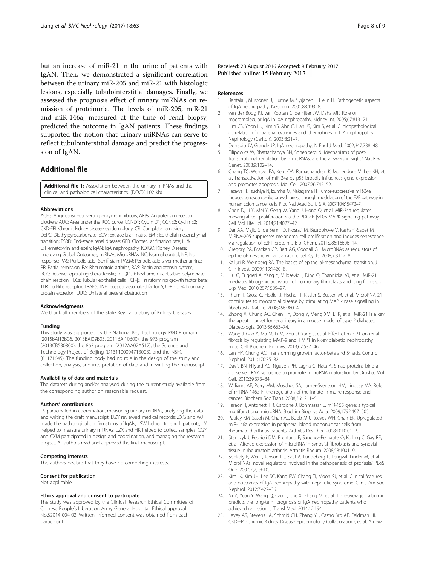<span id="page-7-0"></span>but an increase of miR-21 in the urine of patients with IgAN. Then, we demonstrated a significant correlation between the urinary miR-205 and miR-21 with histologic lesions, especially tubulointerstitial damages. Finally, we assessed the prognosis effect of urinary miRNAs on remission of proteinuria. The levels of miR-205, miR-21 and miR-146a, measured at the time of renal biopsy, predicted the outcome in IgAN patients. These findings supported the notion that urinary miRNAs can serve to reflect tubulointerstitial damage and predict the progression of IgAN.

## Additional file

[Additional file 1:](dx.doi.org/10.1186/s12882-017-0482-0) Association between the urinary miRNAs and the clinical and pathological characteristics. (DOCX 102 kb)

#### Abbreviations

ACEIs: Angiotensin-converting enzyme inhibitors; ARBs: Angiotensin receptor blockers; AUC: Area under the ROC curve; CCND1: Cyclin D1; CCNE2: Cyclin E2; CKD-EPI: Chronic kidney disease epidemiology; CR: Complete remission; DEPC: Diethylpyrocarbonate; ECM: Extracellular matrix; EMT: Epithelial-mesenchymal transition; ESRD: End-stage renal disease; GFR: Glomerular filtration rate; H & E: Hematoxylin and eosin; IgAN: IgA nephropathy; KDIGO: Kidney Disease: Improving Global Outcomes; miRNAs: MicroRNAs; NC: Normal control; NR: No response; PAS: Periodic acid–Schiff stain; PASM: Periodic acid silver methenamine; PR: Partial remission; RA: Rheumatoid arthritis; RAS: Renin angiotensin system; ROC: Receiver operating characteristic; RT-QPCR: Real-time quantitative polymerase chain reaction; TECs: Tubular epithelial cells; TGF-β: Transforming growth factor beta; TLR: Toll-like receptor; TRAF6: TNF receptor associated factor 6; U-Prot: 24 h urinary protein excretion; UUO: Unilateral ureteral obstruction

#### Acknowledgments

We thank all members of the State Key Laboratory of Kidney Diseases.

#### Funding

This study was supported by the National Key Technology R&D Program (2015BAI12B06, 2013BAI09B05, 2011BAI10B00), the 973 program (2013CB530800), the 863 program (2012AA02A512), the Science and Technology Project of Beijing (D131100004713003), and the NSFC (81171645). The funding body had no role in the design of the study and collection, analysis, and interpretation of data and in writing the manuscript.

#### Availability of data and materials

The datasets during and/or analysed during the current study available from the corresponding author on reasonable request.

#### Authors' contributions

LS participated in coordination, measuring urinary miRNAs, analyzing the data and writing the draft manuscript; DZY reviewed medical records; ZXG and WJ made the pathological confirmations of IgAN; LSW helped to enroll patients; LY helped to measure urinary miRNAs; LZX and HK helped to collect samples; CGY and CXM participated in design and coordination, and managing the research project. All authors read and approved the final manuscript.

#### Competing interests

The authors declare that they have no competing interests.

#### Consent for publication

Not applicable.

#### Ethics approval and consent to participate

The study was approved by the Clinical Research Ethical Committee of Chinese People's Liberation Army General Hospital. Ethical approval No.S2014-004-02. Written informed consent was obtained from each participant.

Received: 28 August 2016 Accepted: 9 February 2017 Published online: 15 February 2017

#### References

- 1. Rantala I, Mustonen J, Hurme M, Syrjänen J, Helin H. Pathogenetic aspects of IgA nephropathy. Nephron. 2001;88:193–8.
- 2. van der Boog PJ, van Kooten C, de Fijter JW, Daha MR. Role of macromolecular IgA in IgA nephropathy. Kidney Int. 2005;67:813–21.
- 3. Lim CS, Yoon HJ, Kim YS, Ahn C, Han JS, Kim S, et al. Clinicopathological correlation of intrarenal cytokines and chemokines in IgA nephropathy. Nephrology (Carlton). 2003;8:21–7.
- 4. Donadio JV, Grande JP. IgA nephropathy. N Engl J Med. 2002;347:738–48.
- 5. Filipowicz W, Bhattacharyya SN, Sonenberg N. Mechanisms of posttranscriptional regulation by microRNAs: are the answers in sight? Nat Rev Genet. 2008;9:102–14.
- 6. Chang TC, Wentzel EA, Kent OA, Ramachandran K, Mullendore M, Lee KH, et al. Transactivation of miR-34a by p53 broadly influences gene expression and promotes apoptosis. Mol Cell. 2007;26:745–52.
- 7. Tazawa H, Tsuchiya N, Izumiya M, Nakagama H. Tumor-suppressive miR-34a induces senescence-like growth arrest through modulation of the E2F pathway in human colon cancer cells. Proc Natl Acad Sci U S A. 2007;104:15472–7.
- 8. Chen D, Li Y, Mei Y, Geng W, Yang J, Hong Q, et al. MiR-34a regulates mesangial cell proliferation via the PDGFR-β/Ras-MAPK signaling pathway. Cell Mol Life Sci. 2014;71:4027–42.
- Dar AA, Majid S, de Semir D, Nosrati M, Bezrookove V, Kashani-Sabet M. MiRNA-205 suppresses melanoma cell proliferation and induces senescence via regulation of E2F1 protein. J Biol Chem. 2011;286:16606–14.
- 10. Gregory PA, Bracken CP, Bert AG, Goodall GJ. MicroRNAs as regulators of epithelial-mesenchymal transition. Cell Cycle. 2008;7:3112–8.
- 11. Kalluri R, Weinberg RA. The basics of epithelial-mesenchymal transition. J Clin Invest. 2009;119:1420–8.
- 12. Liu G, Friggeri A, Yang Y, Milosevic J, Ding Q, Thannickal VJ, et al. MiR-21 mediates fibrogenic activation of pulmonary fibroblasts and lung fibrosis. J Exp Med. 2010;207:1589–97.
- 13. Thum T, Gross C, Fiedler J, Fischer T, Kissler S, Bussen M, et al. MicroRNA-21 contributes to myocardial disease by stimulating MAP kinase signalling in fibroblasts. Nature. 2008;456:980–4.
- 14. Zhong X, Chung AC, Chen HY, Dong Y, Meng XM, Li R, et al. MiR-21 is a key therapeutic target for renal injury in a mouse model of type 2 diabetes. Diabetologia. 2013;56:663–74.
- 15. Wang J, Gao Y, Ma M, Li M, Zou D, Yang J, et al. Effect of miR-21 on renal fibrosis by regulating MMP-9 and TIMP1 in kk-ay diabetic nephropathy mice. Cell Biochem Biophys. 2013;67:537–46.
- 16. Lan HY, Chung AC. Transforming growth factor-beta and Smads. Contrib Nephrol. 2011;170:75–82.
- 17. Davis BN, Hilyard AC, Nguyen PH, Lagna G, Hata A. Smad proteins bind a conserved RNA sequence to promote microRNA maturation by Drosha. Mol Cell. 2010;39:373–84.
- 18. Williams AE, Perry MM, Moschos SA, Larner-Svensson HM, Lindsay MA. Role of miRNA-146a in the regulation of the innate immune response and cancer. Biochem Soc Trans. 2008;36:1211–5.
- 19. Faraoni I, Antonetti FR, Cardone J, Bonmassar E. miR-155 gene: a typical multifunctional microRNA. Biochim Biophys Acta. 2009;1792:497–505.
- 20. Pauley KM, Satoh M, Chan AL, Bubb MR, Reeves WH, Chan EK. Upregulated miR-146a expression in peripheral blood mononuclear cells from rheumatoid arthritis patients. Arthritis Res Ther. 2008;10:R101–2.
- 21. Stanczyk J, Pedrioli DM, Brentano F, Sanchez-Pernaute O, Kolling C, Gay RE, et al. Altered expression of microRNA in synovial fibroblasts and synovial tissue in rheumatoid arthritis. Arthritis Rheum. 2008;58:1001–9.
- 22. Sonkoly E, Wei T, Janson PC, Saaf A, Lundeberg L, Tengvall-Linder M, et al. MicroRNAs: novel regulators involved in the pathogenesis of psoriasis? PLoS One. 2007;2(7):e610.
- 23. Kim JK, Kim JH, Lee SC, Kang EW, Chang TI, Moon SJ, et al. Clinical features and outcomes of IgA nephropathy with nephrotic syndrome. Clin J Am Soc Nephrol. 2012;7:427–36.
- 24. Ni Z, Yuan Y, Wang Q, Cao L, Che X, Zhang M, et al. Time-averaged albumin predicts the long-term prognosis of IgA nephropathy patients who achieved remission. J Transl Med. 2014;12:194.
- 25. Levey AS, Stevens LA, Schmid CH, Zhang YL, Castro 3rd AF, Feldman HI, CKD-EPI (Chronic Kidney Disease Epidemiology Collaboration), et al. A new